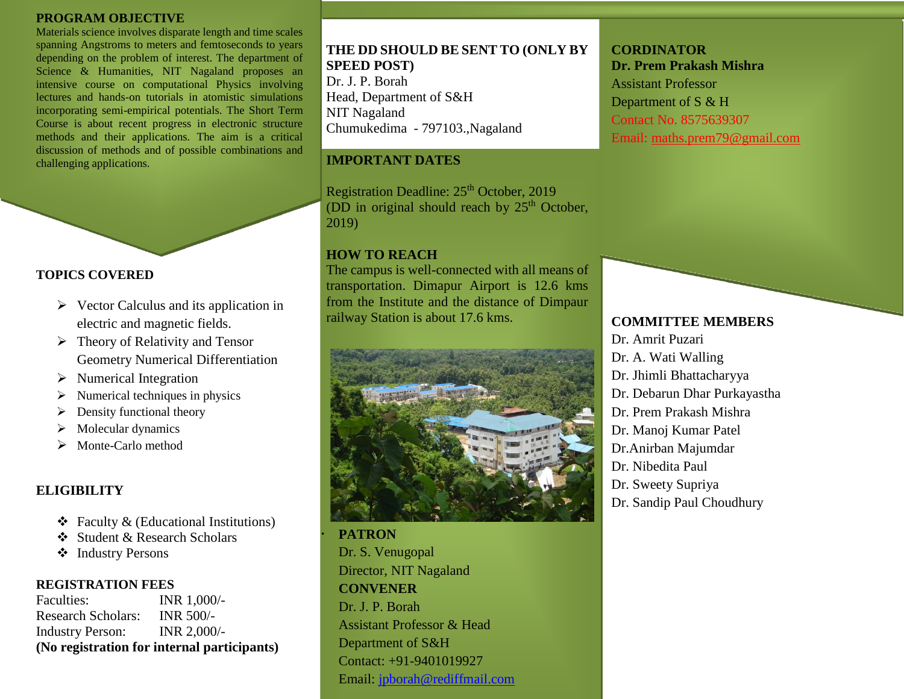#### **PROGRAM OBJECTIVE**

Materials science involves disparate length and time scales spanning Angstroms to meters and femtoseconds to years depending on the problem of interest. The department of Science & Humanities, NIT Nagaland proposes an intensive course on computational Physics involving lectures and hands-on tutorials in atomistic simulations incorporating semi-empirical potentials. The Short Term Course is about recent progress in electronic structure methods and their applications. The aim is a critical discussion of methods and of possible combinations and challenging applications.

## **TOPICS COVERED**

- $\triangleright$  Vector Calculus and its application in electric and magnetic fields.
- $\triangleright$  Theory of Relativity and Tensor Geometry Numerical Differentiation
- $\triangleright$  Numerical Integration
- $\triangleright$  Numerical techniques in physics
- Density functional theory
- $\triangleright$  Molecular dynamics
- $\triangleright$  Monte-Carlo method

## **ELIGIBILITY**

- $\triangle$  Faculty & (Educational Institutions)
- Student & Research Scholars
- ❖ Industry Persons

## **REGISTRATION FEES**

Faculties: **INR** 1,000/-Research Scholars: INR 500/- Industry Person: INR 2,000/- **(No registration for internal participants)**

**THE DD SHOULD BE SENT TO (ONLY BY SPEED POST)** Dr. J. P. Borah Head, Department of S&H NIT Nagaland Chumukedima - 797103.,Nagaland

## **IMPORTANT DATES**

Registration Deadline:  $25<sup>th</sup>$  October, 2019 (DD in original should reach by  $25<sup>th</sup>$  October, 2019)

## **HOW TO REACH**

The campus is well-connected with all means of transportation. Dimapur Airport is 12.6 kms from the Institute and the distance of Dimpaur railway Station is about 17.6 kms.



**PATRON** Dr. S. Venugopal Director, NIT Nagaland **CONVENER** Dr. J. P. Borah Assistant Professor & Head Department of S&H Contact: +91-9401019927 Email: [jpborah@rediffmail.com](mailto:jpborah@rediffmail.com)

## **CORDINATOR Dr. Prem Prakash Mishra** Assistant Professor Department of S & H Contact No. 8575639307

Email: [maths.prem79@gmail.com](mailto:maths.prem79@gmail.com)

## **COMMITTEE MEMBERS** Dr. Amrit Puzari

- Dr. A. Wati Walling
- Dr. Jhimli Bhattacharyya
- Dr. Debarun Dhar Purkayastha
- Dr. Prem Prakash Mishra
- Dr. Manoj Kumar Patel
- Dr.Anirban Majumdar
- Dr. Nibedita Paul
- Dr. Sweety Supriya
- Dr. [Sandip Paul Choudhury](http://scholar.google.com/citations?user=c261_WEAAAAJ&hl=en)